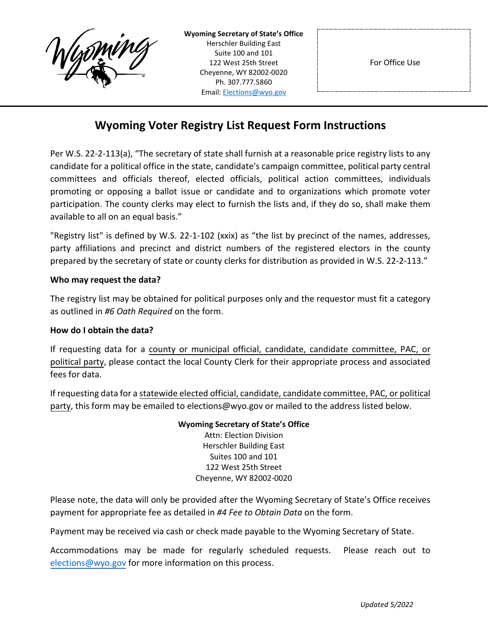

**Wyoming Secretary of State's Office** Herschler Building East Suite 100 and 101 122 West 25th Street Cheyenne, WY 82002-0020 Ph. 307.777.5860 Email: [Elections@wyo.gov](mailto:Elections@wyo.gov)

## **Wyoming Voter Registry List Request Form Instructions**

Per W.S. 22-2-113(a), "The secretary of state shall furnish at a reasonable price registry lists to any candidate for a political office in the state, candidate's campaign committee, political party central committees and officials thereof, elected officials, political action committees, individuals promoting or opposing a ballot issue or candidate and to organizations which promote voter participation. The county clerks may elect to furnish the lists and, if they do so, shall make them available to all on an equal basis."

"Registry list" is defined by W.S. 22-1-102 (xxix) as "the list by precinct of the names, addresses, party affiliations and precinct and district numbers of the registered electors in the county prepared by the secretary of state or county clerks for distribution as provided in W.S. 22-2-113."

#### **Who may request the data?**

The registry list may be obtained for political purposes only and the requestor must fit a category as outlined in *#6 Oath Required* on the form.

#### **How do I obtain the data?**

If requesting data for a county or municipal official, candidate, candidate committee, PAC, or political party, please contact the local County Clerk for their appropriate process and associated fees for data.

If requesting data for a statewide elected official, candidate, candidate committee, PAC, or political party, this form may be emailed to elections@wyo.gov or mailed to the address listed below.

#### **Wyoming Secretary of State's Office** Attn: Election Division

Herschler Building East Suites 100 and 101 122 West 25th Street Cheyenne, WY 82002-0020

Please note, the data will only be provided after the Wyoming Secretary of State's Office receives payment for appropriate fee as detailed in *#4 Fee to Obtain Data* on the form.

Payment may be received via cash or check made payable to the Wyoming Secretary of State.

Accommodations may be made for regularly scheduled requests. Please reach out to [elections@wyo.gov](mailto:elections@wyo.gov) for more information on this process.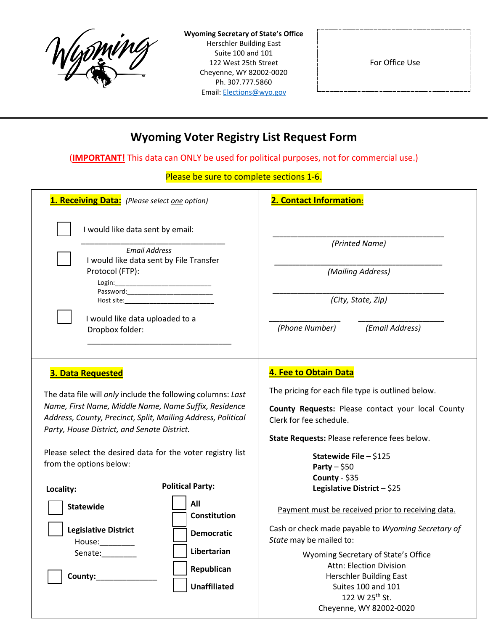

**Wyoming Secretary of State's Office** Herschler Building East Suite 100 and 101 122 West 25th Street Cheyenne, WY 82002-0020 Ph. 307.777.5860 Email: [Elections@wyo.gov](mailto:Elections@wyo.gov)

For Office Use

# **Wyoming Voter Registry List Request Form**

(**IMPORTANT!** This data can ONLY be used for political purposes, not for commercial use.)

Please be sure to complete sections 1-6.

| 1. Receiving Data: (Please select one option)                                                                                                                                                                                                                   | 2. Contact Information:                                                                                                                                                                                    |
|-----------------------------------------------------------------------------------------------------------------------------------------------------------------------------------------------------------------------------------------------------------------|------------------------------------------------------------------------------------------------------------------------------------------------------------------------------------------------------------|
| I would like data sent by email:<br><b>Email Address</b>                                                                                                                                                                                                        | (Printed Name)                                                                                                                                                                                             |
| I would like data sent by File Transfer<br>Protocol (FTP):                                                                                                                                                                                                      | (Mailing Address)                                                                                                                                                                                          |
| Login:                                                                                                                                                                                                                                                          | (City, State, Zip)                                                                                                                                                                                         |
| I would like data uploaded to a<br>Dropbox folder:                                                                                                                                                                                                              | (Phone Number)<br>(Email Address)                                                                                                                                                                          |
| <b>3. Data Requested</b><br>The data file will only include the following columns: Last<br>Name, First Name, Middle Name, Name Suffix, Residence<br>Address, County, Precinct, Split, Mailing Address, Political<br>Party, House District, and Senate District. | 4. Fee to Obtain Data<br>The pricing for each file type is outlined below.<br>County Requests: Please contact your local County<br>Clerk for fee schedule.<br>State Requests: Please reference fees below. |
| Please select the desired data for the voter registry list<br>from the options below:                                                                                                                                                                           | Statewide File - \$125<br>Party $-$ \$50                                                                                                                                                                   |
| <b>Political Party:</b><br>Locality:                                                                                                                                                                                                                            | County - $$35$<br>Legislative District - \$25                                                                                                                                                              |
| All<br><b>Statewide</b><br><b>Constitution</b>                                                                                                                                                                                                                  | Payment must be received prior to receiving data.                                                                                                                                                          |
| <b>Legislative District</b><br><b>Democratic</b><br>House:                                                                                                                                                                                                      | Cash or check made payable to Wyoming Secretary of<br>State may be mailed to:                                                                                                                              |
| Libertarian<br>Senate:_________                                                                                                                                                                                                                                 | Wyoming Secretary of State's Office<br><b>Attn: Election Division</b>                                                                                                                                      |
| Republican<br>County:<br><b>Unaffiliated</b>                                                                                                                                                                                                                    | <b>Herschler Building East</b><br><b>Suites 100 and 101</b>                                                                                                                                                |
|                                                                                                                                                                                                                                                                 | 122 W 25 <sup>th</sup> St.<br>Cheyenne, WY 82002-0020                                                                                                                                                      |